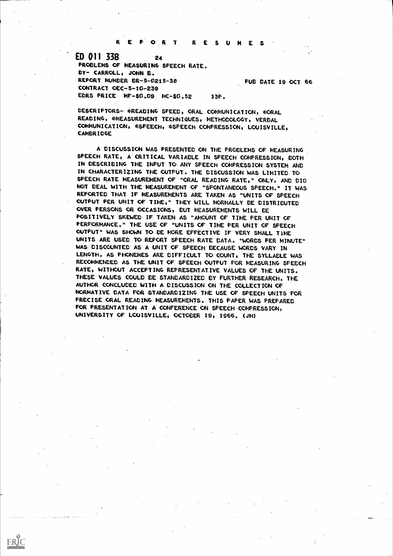REFORT RESUME

ED 011 338 24 PROBLEMS OF MEASURING SPEECH RATE. SIN CARROLL, JOHN G. REPORT NUMBER BR-5-0215-38 PUB DATE 19 OCT 66 CONTRACT OEC-5-10-239 EDRS PRICE MF-\$0.09 HC-\$0.52 13F.

ERIC

DESCRIPTORS- \*READING SPEED, ORAL COMMUNICATION, \*ORAL READING, \*MEASUREMENT TECHNIQUES, METHODOLOGY, VERBAL COMMUNICATION, \*SPEECH, \*SPEECH COMPRESSION, LOUISVILLE, CAMBRIDGE

A DISCUSSION WAS PRESENTED ON THE PROBLEMS OF MEASURING. SPEECH RATE, A CRITICAL VARIABLE IN SPEECH COMPRESSION, BOTH IN DESCRIBING THE INPUT TO ANY SPEECH COMPRESSION SYSTEM AND IN CHARACTERIZING THE OUTPUT. THE DISCUSSION WAS LIMITED TO SPEECH RATE MEASUREMENT OF "ORAL READING RATE," ONLY, AND DID NOT DEAL WITH THE MEASUREMENT OF "SPONTANEOUS SPEECH." IT WAS REPORTED THAT IF MEASUREMENTS ARE TAKEN AS "UNITS OF SPEECH OUTPUT PER UNIT OF TIME," THEY WILL NORMALLY BE DISTRIBUTED OVER PERSONS OR OCCASIONS, CUT MEASUREMENTS WILL BE POSITIVELY SKEWED IF TAKEN AS "AMOUNT OF TIME PER UNIT OF PERFORMANCE." THE USE OF "UNITS OF TIME PER UNIT OF SPEECH OUTPUT" WAS SHOWN TO BE MORE EFFECTIVE IF VERY SMALL TIME UNITS ARE USED TO REPORT SPEECH RATE DATA. "WORDS PER MINUTE" WAS DISCOUNTED AS A UNIT OF SPEECH BECAUSE WORDS VARY IN LENGTH. AS FHONEMES ARE DIFFICULT TO COUNT, THE SYLLABLE WAS RECOMMENDED AS THE UNIT OF SPEECH OUTPUT FOR MEASURING SPEECH RATE, WITHOUT ACCEPTING REPRESENTATIVE VALUES OF THE UNITS. THESE'VALUES COULD BE STANDARDIZED BY FURTHER RESEARCH. THE AUTHOR CONCLUDED WITH A DISCUSSION ON THE COLLECTION OF NORMATIVE DATA FOR STANDARDIZING THE USE OF SPEECH UNITS FOR PRECISE ORAL READING MEASUREMENTS. THIS PAPER WAS PREPARED FOR PRESENTATION AT A CONFERENCE ON SPEECH COMPRESSION, UNIVERSITY OF LOUISVILLE, OCTOBER 19, 1966. (JH)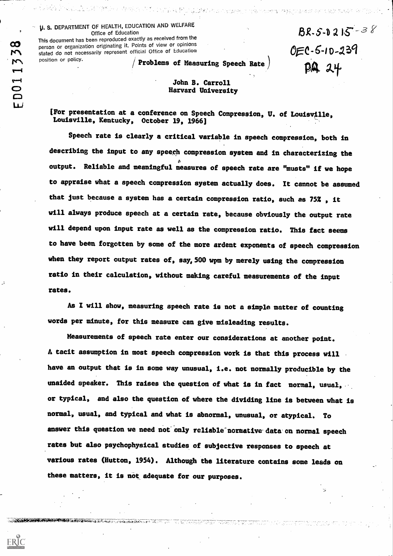## $V$   $V$ , S. DEPARTMENT OF HEALTH, EDUCATION AND WELFARE Office of Education , Office of Education

person or organization originating it. Points of view or opinions This document has been reproduced exactly as received from the tated do not necessarily represent official Office of Education<br>
position or policy.<br> **Problems of Meas** position or policy.

/ Problems of Measuring Speech Rate

ing Alaka Manurung Kanadang Kabupat Palau yang bebagai penggang menggangkan penggangkan pengangkan penggangkan<br>Pengandan Manurung Kanadan Pangkanan Pangkanan pengangkan pengangkan pengangkan pengangkan pengangkan pengangk

 $OEC-5-10-251$ 

 $PA$   $24$ 

 $BR-S-0215 - 38$ 

## John B. Carroll Harvard University

[For presentation at a conference on Speech Compression, U. of Louisville, Louisville, Kentucky, October 19, 1966]

Speech rate is clearly a critical variable in speech compression, both in describing the input to any speech compression system and in characterizing the  $\mathbf{v}$ output. Reliable and meaningful measures of speech rate are "musts" if we hope to appraise what a speech compression system actually does. It cannot be assumed that just because a system has a certain compression ratio, such as 752 , it will always produce speech at a certain rate, because obviously the output rate will depend upon input rate as well as the compression ratio. This fact seems to have been forgotten by some of the more ardent exponents of speech compression when they report output rates of, say, 500 wpm by merely using the compression ratio in their calculation, without making careful measurements of the input rates.

As I will show, measuring speech rate is not a simple matter of counting words per minute, for this measure can give misleading results.

Measurements of speech rate enter our considerations at another point. Atacit assumption in most speech compression work is that this process will have an output that is in some way unusual, I.e. not normally producible by the unaided speaker. This raises the question of what is in fact normal, usual, or typical, and also the question of where the dividing line is between what is normal, usual, and typical and what is abnormal, unusual, or atypical. To answer this question we need not only reliable normative data on normal speech rates but also psychophysical studies of subjective responses to speech at various rates (Hutton, 1954). Although the literature contains some leads on these matters, it is not adequate for our purposes.

TET ENN DATA TA

**CONTRACTOR AND ARRESTS AND ARRESTS**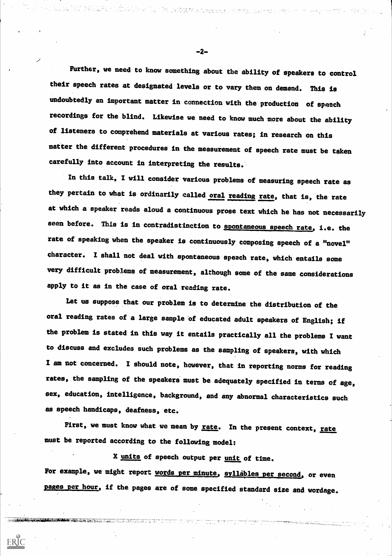Further, we need to know something about the ability of speakers to control their speech rates at designated levels or to vary them on demand. This is undoubtedly an important matter in connection with the production of speech recordings for the blind. Likewise we need to know much more about the ability of listeners to comprehend materials at various rates; in research on this matter the different procedures in the measurement of speech rate must be taken carefully into account in interpreting the results.'

In this talk, I will consider various problems of measuring speech rate as they pertain to what is ordinarily called oral reading rate, that is, the rate at which a speaker reads aloud a continuous prose text which he has not necessarily seen before. This is in contradistinction to spontaneous speech rate, i.e. the rate of speaking when the speaker is continuously composing speech of a "novel" character. I shall not deal with spontaneous speach rate, which entails some very difficult problems of measurement, although some of the same considerations apply to it as in the case of oral reading rate.

Let us suppose that our problem is to determine the distribution of the oral reading rates of a large sample of educated adult speakers of English; if the problem is stated in this way it entails practically all the problems I want to discuss and excludes such problems as the sampling of speakers, with which I am not concerned. I should note, however, that in reporting norms for reading rates, the sampling of the speakers must be adequately specified in terms of age, sex, education, intelligence, background, and any abnormal characteristics such as speech handicaps, deafness, etc.

First, we must know what we mean by rate. In the present context, rate must be reported according to the following model:

X units of speech output per unit of time. For example, we might report words per minute, syllables per second, or even pages per hour, if the pages are of some specified standard size and wordage.

-2-

an taka mengang paling ling di Media Media (Kempangan Termat). Kabupat di Media yang tersebut di ketika di Kem<br>Kempangkanan mengali di Kempang di Media (Kempang Media) di Kempang di Kempang Media yang tersebut di Kempang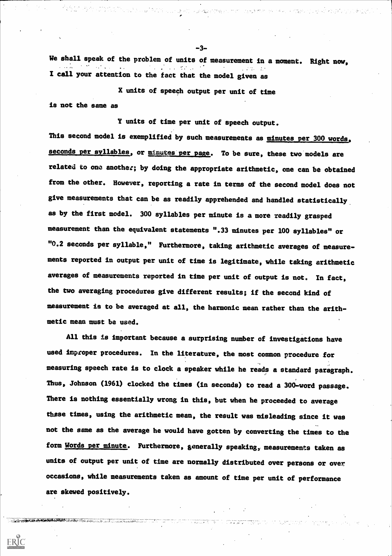We shall speak of the problem of units of measurement in a moment. Right now, I call your attention to the fact that the model given as

X units of speech output per unit of time is not the same as

Y units of time per unit of speech output.

This second model is exemplified by such measurements as minutes per 300 words, seconds per syllables, or minutes per page. To be sure, these two models are related to one another; by doing the appropriate arithmetic, one can be obtained from the other. However, reporting a rate in terms of the second model does not give measurements that can be as readily apprehended and handled statistically. as by the first model. 300 syllables per minute is a more readily grasped measurement than the equivalent statements ".33 minutes per 100 syllables" or "0.2 seconds per syllable," Furthermore, taking arithmetic averages of measurements reported in output per unit of time is legitimate, while taking arithmetic averages of measurements reported in time per unit of output is not. In fact, the two averaging procedures give different results; if the second kind of measurement is to be averaged at all, the harmonic mean rather than the arithmetic mean must be used.

All this is important because a surprising number of investigations have used improper procedures. In the literature, the most common procedure for measuring speech rate is to clock a speaker while he reads a standard paragraph. Thus, Johnson (1961) clocked the times (in seconds) to read a 300-word passage. There is nothing essentially wrong in this, but when he proceeded to average these times, using the arithmetic mean, the result was misleading since it was not the same as the average he would have gotten by converting the times to the form Words per minute. Furthermore, generally speaking, measurements taken as units of output per unit of time are normally distributed over persons or over occasions, while measurements taken as amount of time per unit of performance are skewed positively.

Of the state of the state of the second complete the state of the state of the state of the state of the state of the state of the state of the state of the state of the state of the state of the state of the state of the

-3-

ina na matamatana.<br>Tanggunian sa kalimatan ing kalimatan na mga kasang na matamatan na kalang ng kalang sa kasa ng kalang na kala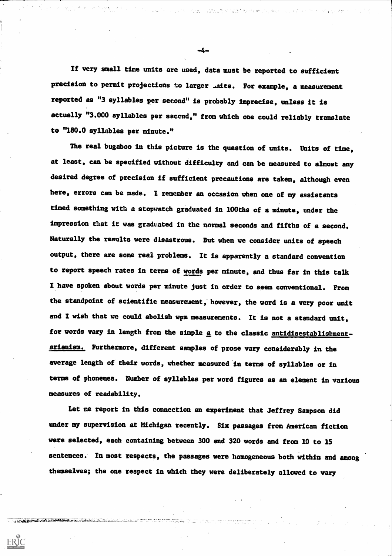If very small time units are used, data must be reported to sufficient precision to permit projections to larger units. For example, a measurement reported as "3 syllables per second" is probably imprecise, unless it is actually "3.000 syllables per second," from which one could reliably translate to "180.0 syllables per minute."

The real bugaboo in this picture is the question of units. Units of time, at least, can be specified without difficulty and can be measured to almost any desired degree of precision if sufficient precautions are taken, although even here, errors can be made. I remember an occasion when one of my assistants timed something with a stopwatch graduated in 100ths of a minute, under the impression that it was graduated in the normal seconds and fifths of a second. Naturally the results were disastrous. But when we consider units of speech output, there are some real problems. It is apparently a standard convention to report speech rates in terms of words per minute, and thus far in this talk I have spoken about words per minute just in order to seem conventional. From the standpoint of scientific measurement, however, the word is a very poor unit and I wish that we could abolish wpm measurements. It is not a standard unit, for words vary in length from the simple a to the classic antidisestablishmentarianism. Furthermore, different samples of prose vary considerably in the average length of their words, whether measured in terms of syllables or in terms of phonemes. Number of syllables per word figures as an element in various measures of readability.

Let me report in this connection an experiment that Jeffrey Sampson did under my supervision at Michigan recently. Six passages from American fiction were selected, each containing between 300 and 320 words and from 10 to 15 sentences.. In most respects, the passages were homogeneous both within and among themselves; the one respect in which they were deliberately allowed to vary

ERIC

-.4-

and the first of the first security of the state of Mark to the Mark Booth Political Action of a complete state<br>The first of the state of the state of the state of the State of the State of the State of the State of the St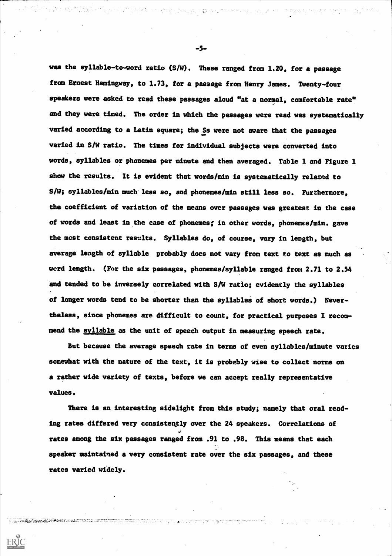was the syllable-towword ratio (S/W). These ranged from 1.20, for a passage from Ernest Hemingway, to 1.73, for a passage from Henry James. Twenty-four speakers were asked to read these passages aloud "at a normal, comfortable rate" and they were timed. The order in which the passages were read was systematically varied according to a Latin square; the Ss were not aware that the passages varied in S/W ratio. The times for individual subjects were converted into words, syllables or phonemes per minute and then averaged. Table 1 and Figure 1 show the results. It is evident that words/min is systematically related to S/W; syllables/min much less so, and phonemes/min still less so. Furthermore, the coefficient of variation of the means over passages was greatest in the case of words and least in the case of phonemes; in other words, phonemes/min. gave the most consistent results. Syllables do, of course, vary in length, but average length of syllable probably does not vary from text to text as much as word length. (For the six passages, phonemes/syllable ranged from 2.71 to 2.54 and tended to be inversely correlated with S/W ratio; evidently the syllables of longer words tend to be shorter than the syllables of short words.) Nevertheless, since phonemes are difficult to count, for practical purposes I recommend the **syllable** as the unit of speech output in measuring speech rate.

But because the average speech rate in terms of even syllables/minute varies somewhat with the nature of the text, it is probably wise to collect norms on a rather wide variety of texts, before we can accept really representative values.

There is an interesting sidelight from this study; namely that oral reading rates differed very consistently over the 24 speakers. Correlations of rates among the six passages ranged from .91 to .98. This means that each speaker maintained a very consistent rate over the six passages, and these rates varied widely.

ERIC

-5-

다. 이번 내가 있어서 이거 넘어온 내가 있는 그를 통해 동시시키기 위해 나는 것이다. 그리고 이 기자 사람들이 아니다. 이 사용한 자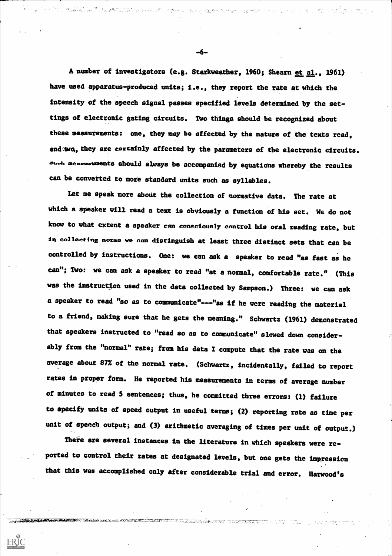A number of investigators (e.g. Starkweather, 1960; Shearn et al., 1961) have used apparatus-produced units; i.e., they report the rate at which the intensity of the speech signal passes specified levels determined by the settings of electronic gating circuits. Two things should be recognized about these measurements: one, they may be affected by the nature of the texts read, and two, they are certainly affected by the parameters of the electronic circuits. Such menowrements should always be accompanied by equations whereby the results can be converted to more standard units such as syllables.

Let me speak more abodt the collection of normative data. The rate at which a speaker will read a text is obviously a function of his set. We do not know to what extent a speaker can conacioualy control his oral reading rate, but in collecting norms we can distinguish at least three distinct sets that can be controlled by instructions. One: we can ask a speaker to read "as fast as he can"; Two: we can ask a speaker to read "at a normal, comfortable rate." (This was the instruction used in the data collected by Sampson.) Three: we can ask a speaker to read "so as to communicate"---"as if he were reading the material to a friend, making sure that he gets the meaning." Schwartz (1961) demonstrated that speakers instructed to "read so as to communicate" slowed down considerably from the "normal" rate; from his data I compute that the rate was on the average about 87% of the normal rate. (Schwartz, incidentally, failed to report rates in proper form. He reported his measurements in terms of average number of minutes to read 5 sentences; thus, he committed three errors: (1) failure to specify units of speed output in useful terms; (2) reporting rate as time per unit of speech output; and (3) arithmetic averaging of times per unit of output.)

There are several instances in the literature in which speakers were reported to control their rates at designated levels, but one gets the impression that this was accomplished only after considerable trial and error. Harwood's

 $\mathcal{L}_{\mathcal{A}}=\mathcal{L}_{\mathcal{A}}\left(\mathcal{L}_{\mathcal{A}}\right)=\mathcal{L}_{\mathcal{A}}\left(\mathcal{L}_{\mathcal{A}}\right)=\mathcal{L}_{\mathcal{A}}\left(\mathcal{L}_{\mathcal{A}}\right)=\mathcal{L}_{\mathcal{A}}\left(\mathcal{L}_{\mathcal{A}}\right)=\mathcal{L}_{\mathcal{A}}\left(\mathcal{L}_{\mathcal{A}}\right)=\mathcal{L}_{\mathcal{A}}\left(\mathcal{L}_{\mathcal{A}}\right)=\mathcal{L}_{\mathcal{A}}\left(\mathcal{L}_{\mathcal{A}}\right)=\mathcal{L$ 

-6-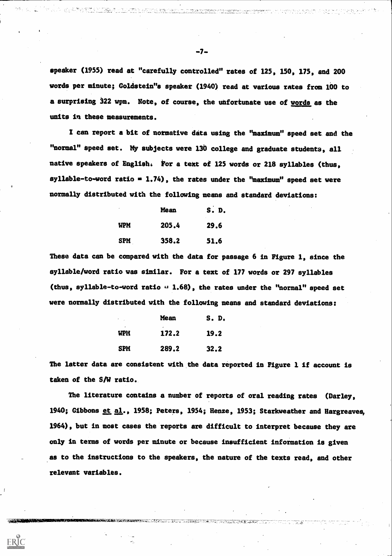speaker (1955) read at "carefully controlled" rates of 125, 150, 175, and 200 words per minute; Goldstein"s speaker (1940) read at various rates from 100 to a surprising 322 wpm. Note, of course, the unfortunate use of words as the units in these measurements.

I can report a bit of normative data using the "maximum" speed set and the "normal" speed set. My subjects were 130 college and graduate students, all native speakers of English. For a text of 125 words or 218 syllables (thus, syllable-to-word ratio  $= 1.74$ ), the rates under the "maximum" speed set were normally distributed with the following means and standard deviations:

| ٠   | <b>Mean</b> | S.D. |  |  |
|-----|-------------|------|--|--|
| WPM | 205.4       | 29.6 |  |  |
| SPM | 358.2       | 51.6 |  |  |

These data can be compared with the data for passage 6 in Figure 1, since the syllable/word ratio was similar. For a text of 177 words or 297 syllables (thus, syllable-to-word ratio  $\cdot$  1.68), the rates under the "normal" speed set were normally distributed with the following means and standard deviations:

| $\bullet$       | <b>Mean</b> | S. D. |  |  |
|-----------------|-------------|-------|--|--|
| ٠<br><b>WPM</b> | ÷<br>172.2  | 19.2  |  |  |
| <b>SPM</b>      | 289.2       | 32.2  |  |  |

ERIC

The latter data are consistent with the data reported in Figure 1 if account is taken of the S/W ratio..

The literature contains a number of reports of oral reading rates (Darley, 1940; Gibbons et al., 1958; Peters, 1954; Henze, 1953; Starkweather and Hargreaves, 1964), but in most cases the reports are difficult to interpret because they are only in terms of words per minute or because insufficient information is given to the instructions to the speakers, the na relevant variables.

-7.

<u>an di sebagai di propinsi di sebagai propinsi menggunak di sebagai di sebagai di sebagai di sebagai di sebagai</u>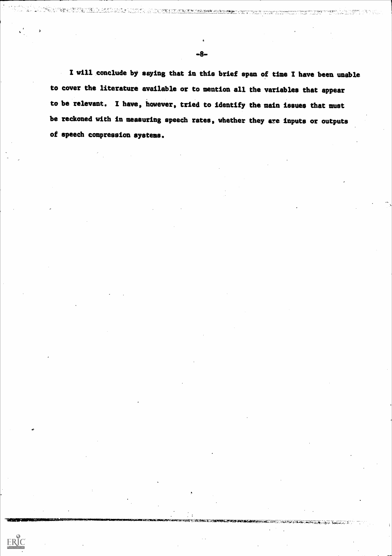I will conclude by saying that in this brief span of time I have been unable  $\bar{z}$ to cover the literature available or to mention all the variables that appear to be relevant. I have, however, tried to identify the main issues that must be reckoned with in measuring speech rates, whether they are inputs or outputs of speech compression systems.

Karl 1994 ya Katika Malaysia ya Katika Angilia (m. 1

-8-

ERIC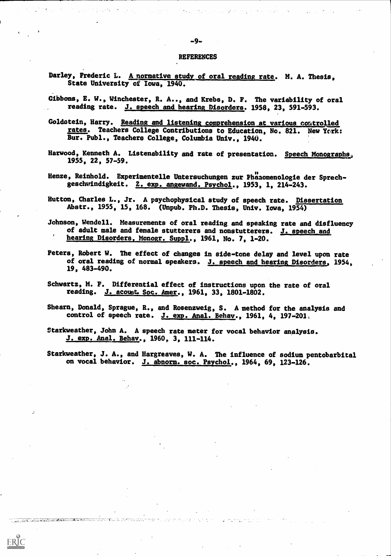## REFERENCES

- Darley, Frederic L. A normative study of oral reading rate. M. A. Thesis, State University of Iowa, 1940.
- Gibbons, E. W., Winchester, R. A.., and Krebs, D. F. The variability of oral reading rate. J. speech and hearing Disorders. 1958, 23, 591-593.
- Goldstein, Harry. Reading and listening comprehension at various controlled rates. Teachers College Contributions to Education, No. 821. New York: Bur. Pubi., Teachers College, Columbia Univ., 1940.
- Harwood, Kenneth A. Listenability and rate of presentation. Speech Monographs, 1955, 22, 57-59.
- Henze, Reinhold. Experimentelle Untersuchungen zur Phäaomenologie der Sprechgeschwindigkeit. Z. exp. angewand. Psychol., 1953, 1, 214-243.
- Hutton, Charles L., Jr. A psychophysical study of speech rate. Dissertation Abstr., 1955, 15, 168. (Unpub. Ph.D. Thesis, Univ. Iowa, 1954)
- Johnson, Wendell. Measurements of oral reading and speaking rate and disfluency of adult male and female stutterers and nonstutterers. J. speech and hearing Disorders, Monogr. Suppl., 1961, No. 7, 1-20.
- Peters, Robert W. The effect of changes in side-tone delay and level upon rate of oral reading of normal speakers. J. speech and hearing Disorders, 1954, 19, 483-490.
- Schwartz, M. F. Differential effect of instructions upon the rate of oral reading. J. acouat. Soc. Amer., 1961, 33, 1801-1802.
- Shearn, Donald, Sprague, R., and Rosenzweig, S. A method for the analysis and control of speech rate. J. exp. Anal. Behav., 1961, 4, 197-201.

Starkweather, John A. A speech rate meter for vocal behavior analysis. J. exp. Anal. Behay., 1960, 3, 111-114.

ERIC

Starkweather, J. A., and Hargreaves, W. A. The influence of sodium pentobarbital on vocal behavior. J. abnorm. soc. Psychol., 1964, 69, 123-126.

-9..

1. 国际服务的维持、有限的现在分词的运动的。 化超级加速器 计设备 紧张的 化乙二酸 经实际资金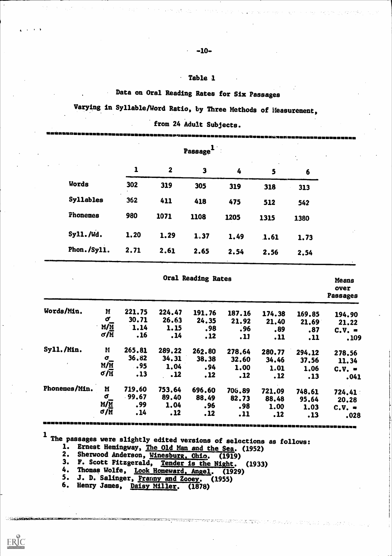## Table 1

Data on Oral Reading Rates for Six Passages

Varying in Syllable/Word Ratio, by Three Methods of Measurement,

. from 24 Adult Subjects.

| ノ政府防衛監督総裁員会議院委員会議員会議員会議員事務局会議員総裁員会が公益禁約基金担保会議員会議員会議員会議員委員会議員委員会委員会委員会委員会議員委員会 |  |
|-------------------------------------------------------------------------------|--|
|-------------------------------------------------------------------------------|--|

| Passage <sup>-</sup> |                |      |      |      | $\bullet$ |
|----------------------|----------------|------|------|------|-----------|
| $\mathbf{1}$         | $\overline{2}$ | 3    | 4    | 5    | 6         |
| 302                  | 319            | 305  | 319  | 318  | 313       |
| 362                  | 411            | 418  | 475  | 512  | 542       |
| 980                  | 1071           | 1108 | 1205 | 1315 | 1380      |
| 1.20                 | 1.29           | 1.37 | 1.49 | 1.61 | 1.73      |
| 2.71                 | 2,61           | 2.65 | 2.54 | 2.56 | 2,54      |
|                      |                |      |      |      |           |

| Words/Min.    | <b>Oral Reading Rates</b> |          |        |        |        |        |        | Means<br>over<br>Passages |  |  |
|---------------|---------------------------|----------|--------|--------|--------|--------|--------|---------------------------|--|--|
|               | M                         | 221.75   | 224.47 | 191.76 | 187.16 | 174.38 | 169.85 | 194.90                    |  |  |
|               | $\boldsymbol{\sigma}$     | 30.71    | 26.63  | 24,35  | 21.92  | 21.40  | 21,69  | 21.22                     |  |  |
|               | $M/\overline{M}$          | 1.14     | 1.15   | .98    | .96    | .89    | .87    | $C.V. =$                  |  |  |
|               | $\sigma/\overline{M}$     | .16      | .14    | .12    | .11    | .11    | .11    | .109                      |  |  |
| Sy11./Min.    | M                         | 265.81   | 289.22 | 262.80 | 278.64 | 280.77 | 294.12 | 278.56                    |  |  |
|               | $\sigma_{\perp}$          | 36,82    | 34.31  | 38.38  | 32,60  | 34.46  | 37.56  | 11.34                     |  |  |
|               | $M/\overline{M}$          | .95      | 1,04   | .94    | 1.00   | 1.01   | 1.06   | $C.V. =$                  |  |  |
|               | $\sigma/\overline{M}$     | .13      | .12    | .12    | .12    | .12    | .13    | .041                      |  |  |
| Phonemes/Min. | M                         | 719,60   | 753.64 | 696.60 | 706.89 | 721.09 | 748.61 | 724.41                    |  |  |
|               | σ                         | $-99.67$ | 89.40  | 88.49  | 82.73  | 88.48  | 95.64  | 20.28                     |  |  |
|               | $M/\underline{M}$         | .99      | 1.04   | .96    | .98    | 1,00   | 1.03   | $C.V. =$                  |  |  |
|               | $\sigma / M$              | , 14     | .12    | .12    | .11    | .12    | .13    | .028                      |  |  |

<u>participation</u>

군인 정부 전략대 ~

ummummnimmenummummummummemmummummummusaminumminsmassumusimmummennommossummumnimumwassams  $1$  The need

.<br>So ostany také teorie v podobné teorie v předstupenované kazda z předstva z před de de de de de de de de de de

The passages were slightly edited versions of selections as follows:

- 1. Ernest Hemingway, The Old Man and the Sea. (1952)<br>2. Sherwood Anderson, Winesburg. Ohio. (1919)
- Sherwood Anderson, Winesburg, Ohio. (1919)
- 3. F. Scott Fitzgerald, Tender is the Night. (1933)<br>4. Thomas Wolfe. Look Homeward, Angel (1929)
- 4. Thomas Wolfe, Look Homeward, Angel. (1929)<br>5. J. D. Salinger, Franny and Zooev. (1955)
- 5. J. D. Salinger, Franny and Zooey. (1955)<br>6. Henry James. Daisy Miller. (1878)
- Henry James, Daisy Miller. (1878)

**ANG MARING BELIEVE AND**